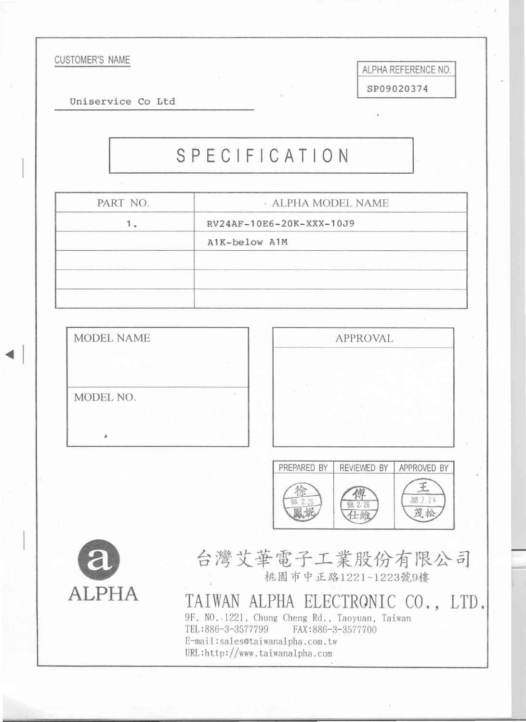#### **CUSTOMER'S NAME**

Uniservice Co Ltd

# SPECIFICATION

| PART NO. | · ALPHA MODEL NAME       |
|----------|--------------------------|
|          | RV24AF-10E6-20K-XXX-10J9 |
|          | A1K-below A1M            |
|          |                          |
|          |                          |
|          |                          |

| <b>MODEL NAME</b> |  |
|-------------------|--|
|                   |  |
| MODEL NO.         |  |
| a                 |  |



ALPHA REFERENCE NO.

SP09020374





台灣艾華電子工業股份有限公司 桃園市中正路1221~1223號9樓

TAIWAN ALPHA ELECTRONIC CO., LTD. 9F, NO.-1221, Chung Cheng Rd., Taoyuan, Taiwan TEL:886-3-3577799 FAX:886-3-3577700 E-mail:sales@taiwanalpha.com.tw URL:http://www.taiwana1pha.com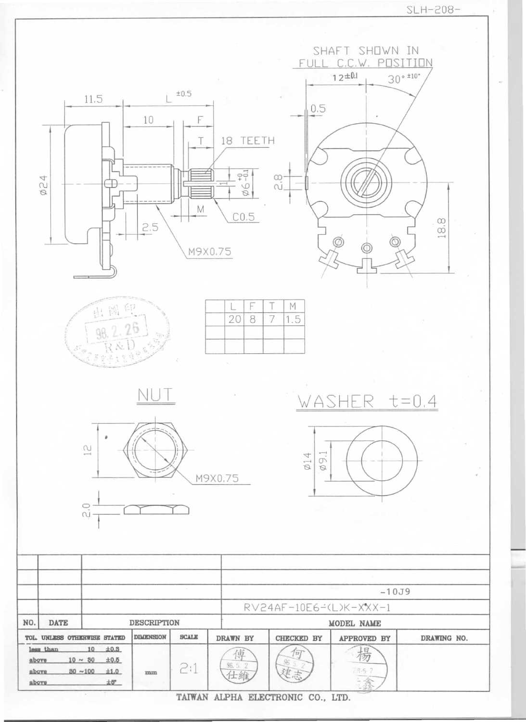

TAIWAN ALPHA ELECTRONIC CO., LTD.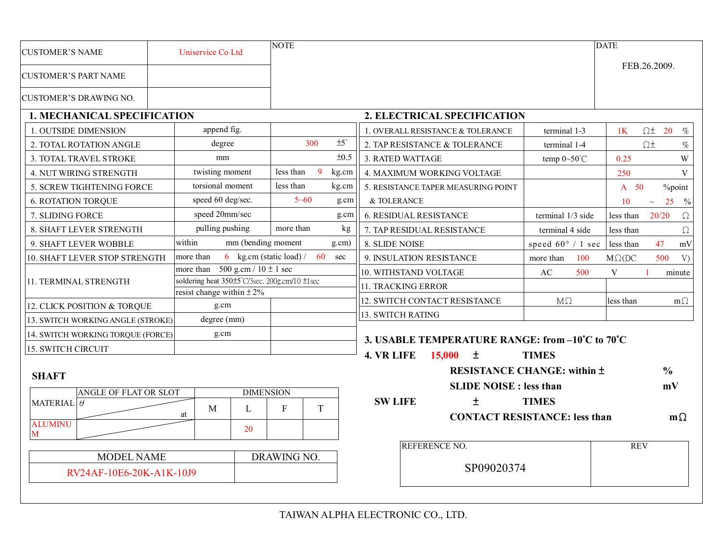| <b>CUSTOMER'S NAME</b>             |  | Uniservice Co Ltd                             |                      |             | <b>NOTE</b>                                |                                                    |                                                |                                                   | <b>DATE</b>        |                           |
|------------------------------------|--|-----------------------------------------------|----------------------|-------------|--------------------------------------------|----------------------------------------------------|------------------------------------------------|---------------------------------------------------|--------------------|---------------------------|
| <b>CUSTOMER'S PART NAME</b>        |  |                                               |                      |             |                                            |                                                    |                                                |                                                   | FEB.26.2009.       |                           |
| <b>CUSTOMER'S DRAWING NO.</b>      |  |                                               |                      |             |                                            |                                                    |                                                |                                                   |                    |                           |
| <b>1. MECHANICAL SPECIFICATION</b> |  |                                               |                      |             |                                            |                                                    | 2. ELECTRICAL SPECIFICATION                    |                                                   |                    |                           |
| 1. OUTSIDE DIMENSION               |  |                                               |                      | append fig. |                                            |                                                    |                                                | 1. OVERALL RESISTANCE & TOLERANCE<br>terminal 1-3 | 1K                 | $\Omega$ $\pm$ 20<br>$\%$ |
| 2. TOTAL ROTATION ANGLE            |  | degree                                        |                      | 300         | $±5^\circ$                                 | 2. TAP RESISTANCE & TOLERANCE<br>terminal 1-4      |                                                | $\Omega$ ±<br>$\%$                                |                    |                           |
| 3. TOTAL TRAVEL STROKE             |  | mm                                            |                      |             |                                            | ±0.5                                               | 3. RATED WATTAGE<br>temp $0 \sim 50^{\circ}$ C | 0.25                                              | W                  |                           |
| 4. NUT WIRING STRENGTH             |  | twisting moment                               |                      |             | less than                                  | 9<br>kg.cm                                         | 4. MAXIMUM WORKING VOLTAGE                     | 250                                               | $\mathbf{V}$       |                           |
| 5. SCREW TIGHTENING FORCE          |  | torsional moment                              |                      |             | less than                                  | kg.cm                                              | 5. RESISTANCE TAPER MEASURING POINT            | $A$ 50                                            | <sup>%</sup> point |                           |
| <b>6. ROTATION TORQUE</b>          |  | speed 60 deg/sec.                             |                      | $5 - 60$    | g.cm                                       | & TOLERANCE                                        | 10                                             | 25<br>$\frac{0}{0}$<br>$\thicksim$                |                    |                           |
| 7. SLIDING FORCE                   |  | speed 20mm/sec                                |                      |             | g.cm                                       | <b>6. RESIDUAL RESISTANCE</b><br>terminal 1/3 side | less than                                      | 20/20<br>$\Omega$                                 |                    |                           |
| 8. SHAFT LEVER STRENGTH            |  | pulling pushing                               |                      | more than   | kg                                         | 7. TAP RESIDUAL RESISTANCE<br>terminal 4 side      | less than                                      | $\Omega$                                          |                    |                           |
| 9. SHAFT LEVER WOBBLE              |  | within<br>mm (bending moment                  |                      |             | g.cm)                                      |                                                    | 8. SLIDE NOISE<br>speed $60^{\circ}$ / 1 sec   | less than                                         | 47<br>mV           |                           |
| 10. SHAFT LEVER STOP STRENGTH      |  | more than                                     |                      |             | 6 kg.cm (static load) /                    | 60<br>sec<br>9. INSULATION RESISTANCE<br>more than |                                                | 100<br>$M\Omega(DC)$                              | 500<br>V           |                           |
|                                    |  | more than 500 g.cm / $10 \pm 1$ sec           |                      |             |                                            |                                                    | 10. WITHSTAND VOLTAGE<br>AC                    | 500<br>V                                          | minute             |                           |
| 11. TERMINAL STRENGTH              |  | soldering heat 350±5°C/3sec. 200g.cm/10 ±1sec |                      |             |                                            |                                                    | 11. TRACKING ERROR                             |                                                   |                    |                           |
| resist change within $\pm 2\%$     |  |                                               |                      |             | 12. SWITCH CONTACT RESISTANCE<br>$M\Omega$ | less than                                          | $m\Omega$                                      |                                                   |                    |                           |
| 12. CLICK POSITION & TORQUE        |  | g.cm<br>degree (mm)                           |                      |             |                                            | 13. SWITCH RATING                                  |                                                |                                                   |                    |                           |
| 13. SWITCH WORKING ANGLE (STROKE)  |  |                                               |                      |             |                                            |                                                    |                                                |                                                   |                    |                           |
| 14. SWITCH WORKING TORQUE (FORCE)  |  | g.cm                                          |                      |             |                                            | 3. USABLE TEMPERATURE RANGE: from -10°C to 70°C    |                                                |                                                   |                    |                           |
| 15. SWITCH CIRCUIT                 |  |                                               |                      |             |                                            |                                                    | 4. VR LIFE<br>15,000<br>土<br><b>TIMES</b>      |                                                   |                    |                           |
|                                    |  |                                               |                      |             |                                            |                                                    | <b>RESISTANCE CHANGE: within ±</b>             |                                                   | $\frac{0}{0}$      |                           |
| <b>SHAFT</b>                       |  |                                               |                      |             |                                            |                                                    | <b>SLIDE NOISE : less than</b>                 |                                                   | mV                 |                           |
| <b>ANGLE OF FLAT OR SLOT</b>       |  | <b>DIMENSION</b>                              |                      |             |                                            | $\pm$<br><b>SW LIFE</b><br><b>TIMES</b>            |                                                |                                                   |                    |                           |
| MATERIAL $\theta$                  |  | M<br>at                                       |                      | L           | $\mathbf F$                                | T                                                  |                                                |                                                   |                    |                           |
| <b>ALUMINU</b>                     |  |                                               |                      |             |                                            |                                                    | <b>CONTACT RESISTANCE: less than</b>           |                                                   | $m\Omega$          |                           |
| M                                  |  |                                               |                      | 20          |                                            |                                                    |                                                |                                                   |                    |                           |
|                                    |  | DRAWING NO.                                   | <b>REFERENCE NO.</b> |             | <b>REV</b>                                 |                                                    |                                                |                                                   |                    |                           |
| <b>MODEL NAME</b>                  |  |                                               |                      |             | SP09020374                                 |                                                    |                                                |                                                   |                    |                           |
| RV24AF-10E6-20K-A1K-10J9           |  |                                               |                      |             |                                            |                                                    |                                                |                                                   |                    |                           |
|                                    |  |                                               |                      |             |                                            |                                                    |                                                |                                                   |                    |                           |

TAIWAN ALPHA ELECTRONIC CO., LTD.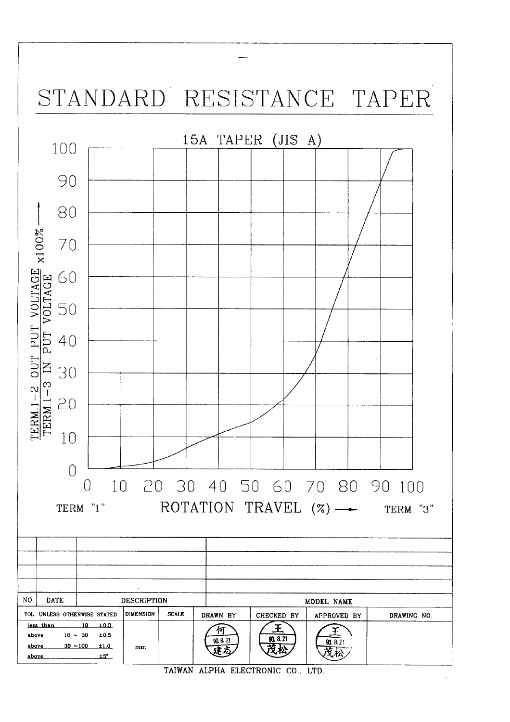

TAIWAN ALPHA ELECTRONIC CO., LTD.